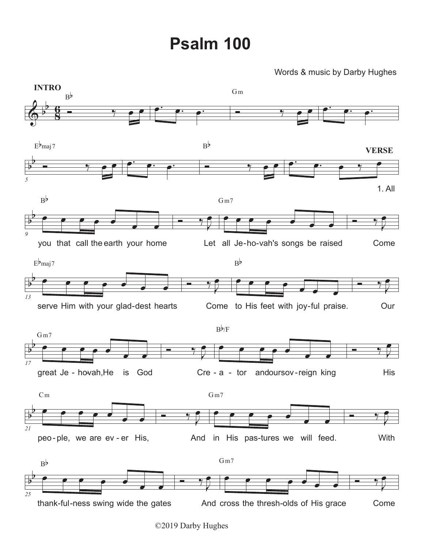## **Psalm 100**

## Words & music by Darby Hughes



<sup>©2019</sup> Darby Hughes